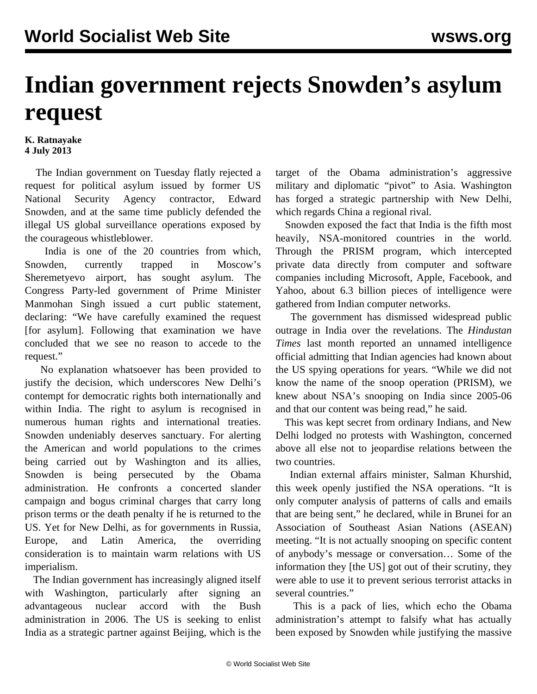## **Indian government rejects Snowden's asylum request**

## **K. Ratnayake 4 July 2013**

 The Indian government on Tuesday flatly rejected a request for political asylum issued by former US National Security Agency contractor, Edward Snowden, and at the same time publicly defended the illegal US global surveillance operations exposed by the courageous whistleblower.

 India is one of the 20 countries from which, Snowden, currently trapped in Moscow's Sheremetyevo airport, has sought asylum. The Congress Party-led government of Prime Minister Manmohan Singh issued a curt public statement, declaring: "We have carefully examined the request [for asylum]. Following that examination we have concluded that we see no reason to accede to the request."

 No explanation whatsoever has been provided to justify the decision, which underscores New Delhi's contempt for democratic rights both internationally and within India. The right to asylum is recognised in numerous human rights and international treaties. Snowden undeniably deserves sanctuary. For alerting the American and world populations to the crimes being carried out by Washington and its allies, Snowden is being persecuted by the Obama administration. He confronts a concerted slander campaign and bogus criminal charges that carry long prison terms or the death penalty if he is returned to the US. Yet for New Delhi, as for governments in Russia, Europe, and Latin America, the overriding consideration is to maintain warm relations with US imperialism.

 The Indian government has increasingly aligned itself with Washington, particularly after signing an advantageous nuclear accord with the Bush administration in 2006. The US is seeking to enlist India as a strategic partner against Beijing, which is the

target of the Obama administration's aggressive military and diplomatic "pivot" to Asia. Washington has forged a strategic partnership with New Delhi, which regards China a regional rival.

 Snowden exposed the fact that India is the fifth most heavily, NSA-monitored countries in the world. Through the PRISM program, which intercepted private data directly from computer and software companies including Microsoft, Apple, Facebook, and Yahoo, about 6.3 billion pieces of intelligence were gathered from Indian computer networks.

 The government has dismissed widespread public outrage in India over the revelations. The *Hindustan Times* last month reported an unnamed intelligence official admitting that Indian agencies had known about the US spying operations for years. "While we did not know the name of the snoop operation (PRISM), we knew about NSA's snooping on India since 2005-06 and that our content was being read," he said.

 This was kept secret from ordinary Indians, and New Delhi lodged no protests with Washington, concerned above all else not to jeopardise relations between the two countries.

 Indian external affairs minister, Salman Khurshid, this week openly justified the NSA operations. "It is only computer analysis of patterns of calls and emails that are being sent," he declared, while in Brunei for an Association of Southeast Asian Nations (ASEAN) meeting. "It is not actually snooping on specific content of anybody's message or conversation… Some of the information they [the US] got out of their scrutiny, they were able to use it to prevent serious terrorist attacks in several countries."

 This is a pack of lies, which echo the Obama administration's attempt to falsify what has actually been exposed by Snowden while justifying the massive